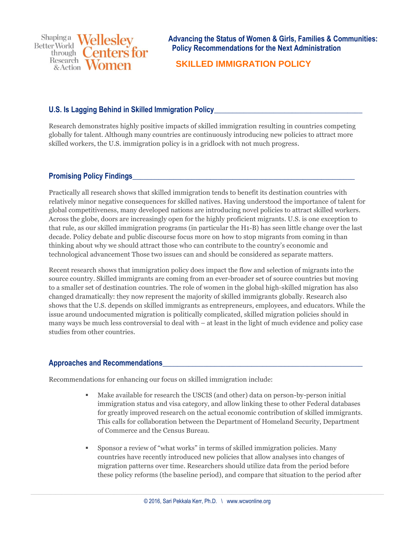Shapinga Wellesley **Better World** enters for through Research & Action

**Advancing the Status of Women & Girls, Families & Communities: Policy Recommendations for the Next Administration**

## **SKILLED IMMIGRATION POLICY**

## **U.S. Is Lagging Behind in Skilled Immigration Policy**

Research demonstrates highly positive impacts of skilled immigration resulting in countries competing globally for talent. Although many countries are continuously introducing new policies to attract more skilled workers, the U.S. immigration policy is in a gridlock with not much progress.

## **Promising Policy Findings**

Practically all research shows that skilled immigration tends to benefit its destination countries with relatively minor negative consequences for skilled natives. Having understood the importance of talent for global competitiveness, many developed nations are introducing novel policies to attract skilled workers. Across the globe, doors are increasingly open for the highly proficient migrants. U.S. is one exception to that rule, as our skilled immigration programs (in particular the H1-B) has seen little change over the last decade. Policy debate and public discourse focus more on how to stop migrants from coming in than thinking about why we should attract those who can contribute to the country's economic and technological advancement Those two issues can and should be considered as separate matters.

Recent research shows that immigration policy does impact the flow and selection of migrants into the source country. Skilled immigrants are coming from an ever-broader set of source countries but moving to a smaller set of destination countries. The role of women in the global high-skilled migration has also changed dramatically: they now represent the majority of skilled immigrants globally. Research also shows that the U.S. depends on skilled immigrants as entrepreneurs, employees, and educators. While the issue around undocumented migration is politically complicated, skilled migration policies should in many ways be much less controversial to deal with – at least in the light of much evidence and policy case studies from other countries.

## **Approaches and Recommendations\_\_\_\_\_\_\_\_\_\_\_\_\_\_\_\_\_\_\_\_\_\_\_\_\_\_\_\_\_\_\_\_\_\_\_\_\_\_\_\_\_\_\_\_\_\_\_\_\_\_\_\_\_\_**

Recommendations for enhancing our focus on skilled immigration include:

- Make available for research the USCIS (and other) data on person-by-person initial immigration status and visa category, and allow linking these to other Federal databases for greatly improved research on the actual economic contribution of skilled immigrants. This calls for collaboration between the Department of Homeland Security, Department of Commerce and the Census Bureau.
- Sponsor a review of "what works" in terms of skilled immigration policies. Many countries have recently introduced new policies that allow analyses into changes of migration patterns over time. Researchers should utilize data from the period before these policy reforms (the baseline period), and compare that situation to the period after